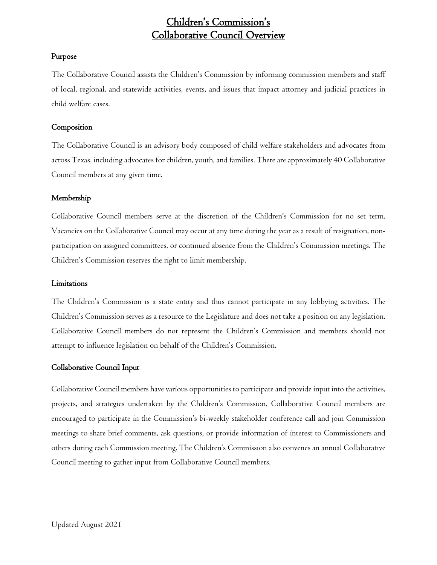## Children's Commission's Collaborative Council Overview

### Purpose

The Collaborative Council assists the Children's Commission by informing commission members and staff of local, regional, and statewide activities, events, and issues that impact attorney and judicial practices in child welfare cases.

### **Composition**

The Collaborative Council is an advisory body composed of child welfare stakeholders and advocates from across Texas, including advocates for children, youth, and families. There are approximately 40 Collaborative Council members at any given time.

## Membership

Collaborative Council members serve at the discretion of the Children's Commission for no set term. Vacancies on the Collaborative Council may occur at any time during the year as a result of resignation, nonparticipation on assigned committees, or continued absence from the Children's Commission meetings. The Children's Commission reserves the right to limit membership.

### Limitations

The Children's Commission is a state entity and thus cannot participate in any lobbying activities. The Children's Commission serves as a resource to the Legislature and does not take a position on any legislation. Collaborative Council members do not represent the Children's Commission and members should not attempt to influence legislation on behalf of the Children's Commission.

## Collaborative Council Input

Collaborative Council members have various opportunities to participate and provide input into the activities, projects, and strategies undertaken by the Children's Commission. Collaborative Council members are encouraged to participate in the Commission's bi-weekly stakeholder conference call and join Commission meetings to share brief comments, ask questions, or provide information of interest to Commissioners and others during each Commission meeting. The Children's Commission also convenes an annual Collaborative Council meeting to gather input from Collaborative Council members.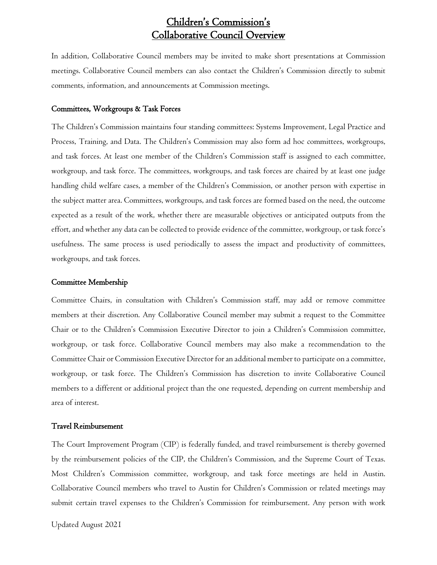## Children's Commission's Collaborative Council Overview

In addition, Collaborative Council members may be invited to make short presentations at Commission meetings. Collaborative Council members can also contact the Children's Commission directly to submit comments, information, and announcements at Commission meetings.

#### Committees, Workgroups & Task Forces

The Children's Commission maintains four standing committees: Systems Improvement, Legal Practice and Process, Training, and Data. The Children's Commission may also form ad hoc committees, workgroups, and task forces. At least one member of the Children's Commission staff is assigned to each committee, workgroup, and task force. The committees, workgroups, and task forces are chaired by at least one judge handling child welfare cases, a member of the Children's Commission, or another person with expertise in the subject matter area. Committees, workgroups, and task forces are formed based on the need, the outcome expected as a result of the work, whether there are measurable objectives or anticipated outputs from the effort, and whether any data can be collected to provide evidence of the committee, workgroup, or task force's usefulness. The same process is used periodically to assess the impact and productivity of committees, workgroups, and task forces.

#### Committee Membership

Committee Chairs, in consultation with Children's Commission staff, may add or remove committee members at their discretion. Any Collaborative Council member may submit a request to the Committee Chair or to the Children's Commission Executive Director to join a Children's Commission committee, workgroup, or task force. Collaborative Council members may also make a recommendation to the Committee Chair or Commission Executive Director for an additional member to participate on a committee, workgroup, or task force. The Children's Commission has discretion to invite Collaborative Council members to a different or additional project than the one requested, depending on current membership and area of interest.

#### Travel Reimbursement

The Court Improvement Program (CIP) is federally funded, and travel reimbursement is thereby governed by the reimbursement policies of the CIP, the Children's Commission, and the Supreme Court of Texas. Most Children's Commission committee, workgroup, and task force meetings are held in Austin. Collaborative Council members who travel to Austin for Children's Commission or related meetings may submit certain travel expenses to the Children's Commission for reimbursement. Any person with work